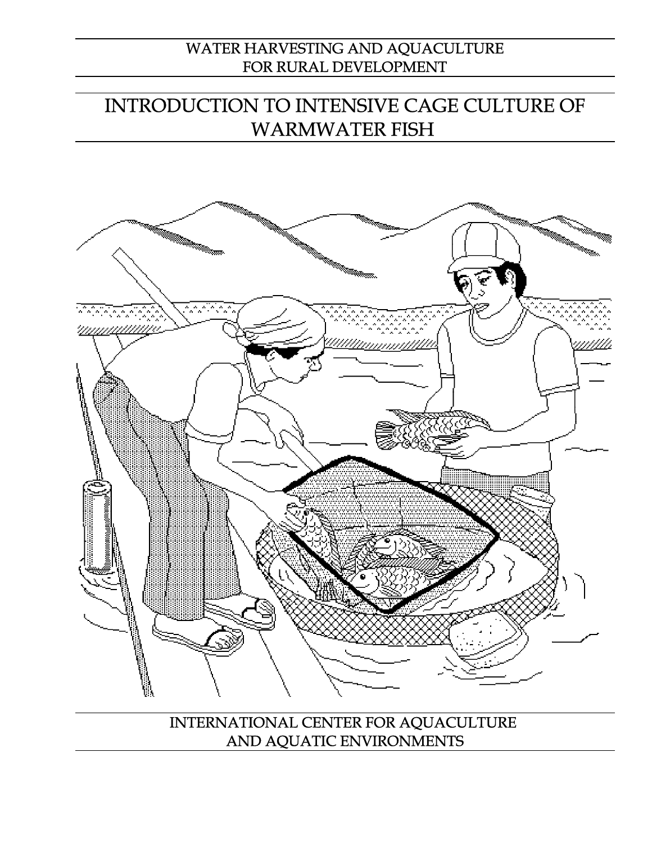# WATER HARVESTING AND AQUACULTURE FOR RURAL DEVELOPMENT

# INTRODUCTION TO INTENSIVE CAGE CULTURE OF WARMWATER FISH



INTERNATIONAL CENTER FOR AQUACULTURE AND AQUATIC ENVIRONMENTS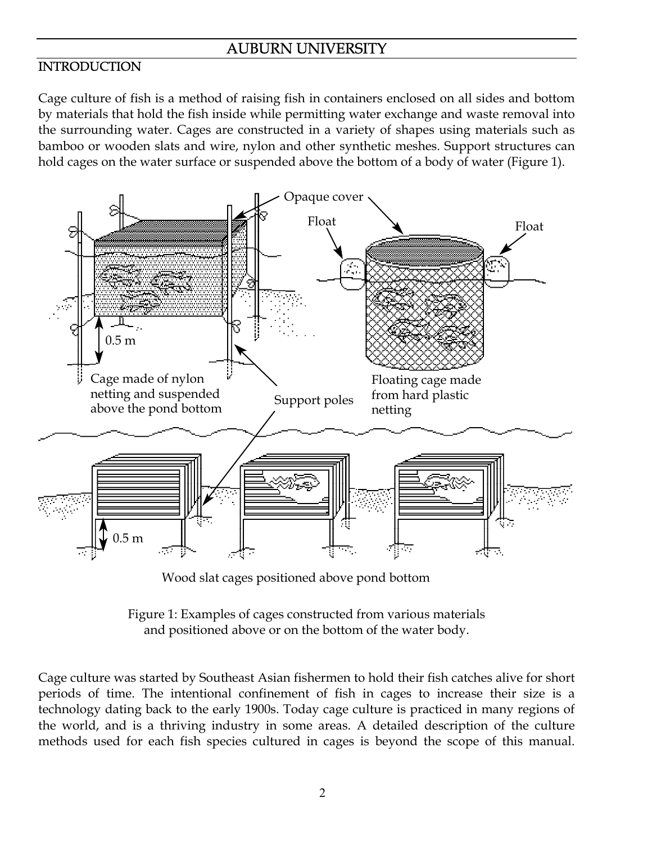# AUBURN UNIVERSITY

## **INTRODUCTION**

Cage culture of fish is a method of raising fish in containers enclosed on all sides and bottom by materials that hold the fish inside while permitting water exchange and waste removal into the surrounding water. Cages are constructed in a variety of shapes using materials such as bamboo or wooden slats and wire, nylon and other synthetic meshes. Support structures can hold cages on the water surface or suspended above the bottom of a body of water (Figure 1).



Wood slat cages positioned above pond bottom

Figure 1: Examples of cages constructed from various materials and positioned above or on the bottom of the water body.

Cage culture was started by Southeast Asian fishermen to hold their fish catches alive for short periods of time. The intentional confinement of fish in cages to increase their size is a technology dating back to the early 1900s. Today cage culture is practiced in many regions of the world, and is a thriving industry in some areas. A detailed description of the culture methods used for each fish species cultured in cages is beyond the scope of this manual.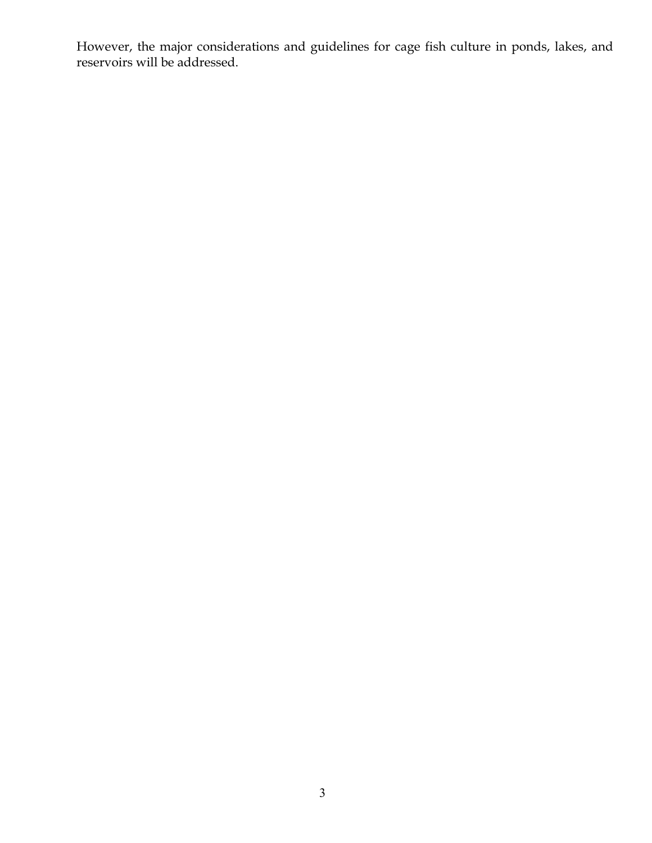However, the major considerations and guidelines for cage fish culture in ponds, lakes, and reservoirs will be addressed.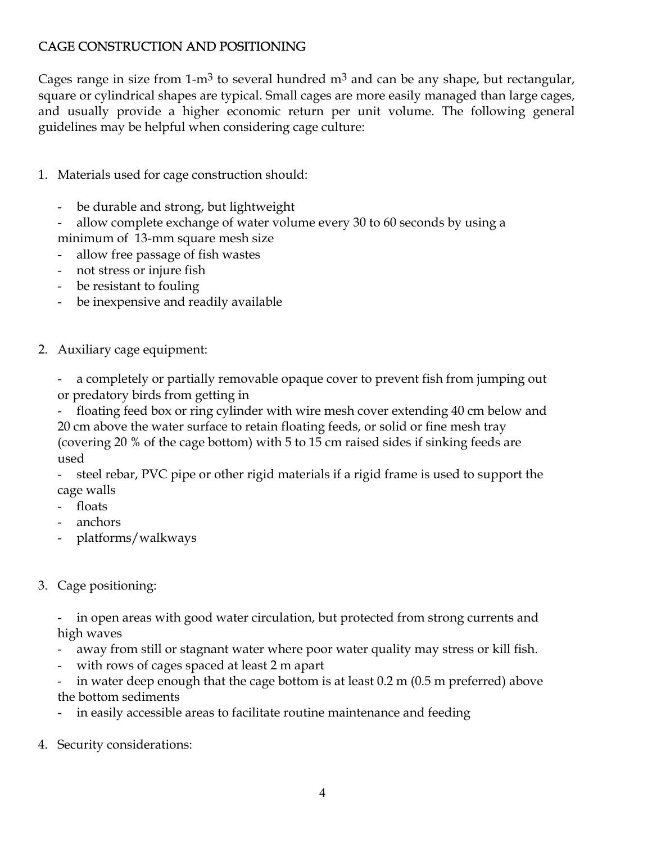# CAGE CONSTRUCTION AND POSITIONING

Cages range in size from 1-m<sup>3</sup> to several hundred m<sup>3</sup> and can be any shape, but rectangular, square or cylindrical shapes are typical. Small cages are more easily managed than large cages, and usually provide a higher economic return per unit volume. The following general guidelines may be helpful when considering cage culture:

- 1. Materials used for cage construction should:
	- be durable and strong, but lightweight
	- allow complete exchange of water volume every 30 to 60 seconds by using a minimum of 13-mm square mesh size
	- allow free passage of fish wastes
	- not stress or injure fish
	- be resistant to fouling
	- be inexpensive and readily available
- 2. Auxiliary cage equipment:
	- a completely or partially removable opaque cover to prevent fish from jumping out or predatory birds from getting in
	- floating feed box or ring cylinder with wire mesh cover extending 40 cm below and 20 cm above the water surface to retain floating feeds, or solid or fine mesh tray (covering 20 % of the cage bottom) with 5 to 15 cm raised sides if sinking feeds are used
	- steel rebar, PVC pipe or other rigid materials if a rigid frame is used to support the cage walls
	- floats
	- anchors
	- platforms/walkways
- 3. Cage positioning:
	- in open areas with good water circulation, but protected from strong currents and high waves
	- away from still or stagnant water where poor water quality may stress or kill fish.
	- with rows of cages spaced at least 2 m apart
	- in water deep enough that the cage bottom is at least  $0.2$  m  $(0.5$  m preferred) above the bottom sediments
	- in easily accessible areas to facilitate routine maintenance and feeding
- 4. Security considerations: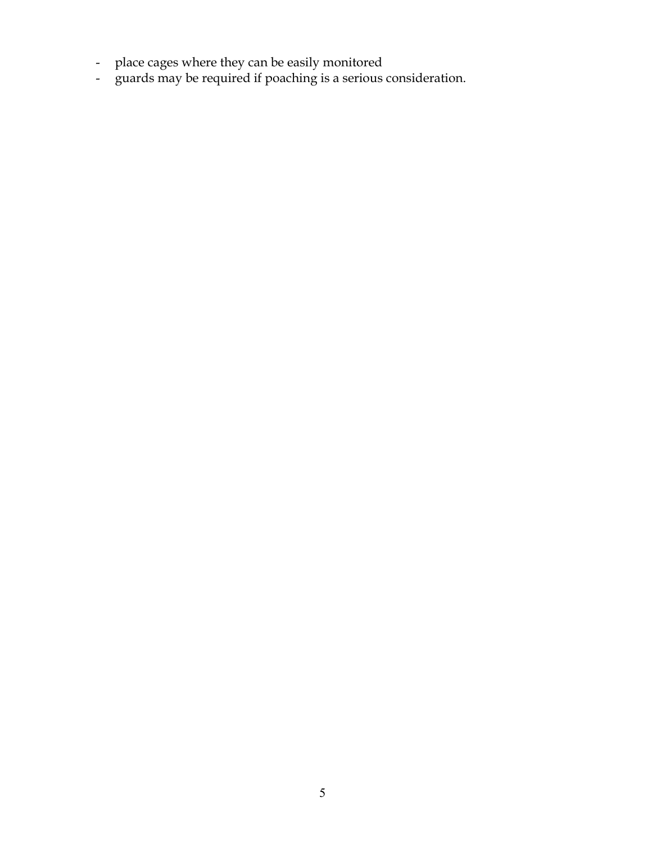- place cages where they can be easily monitored
- guards may be required if poaching is a serious consideration.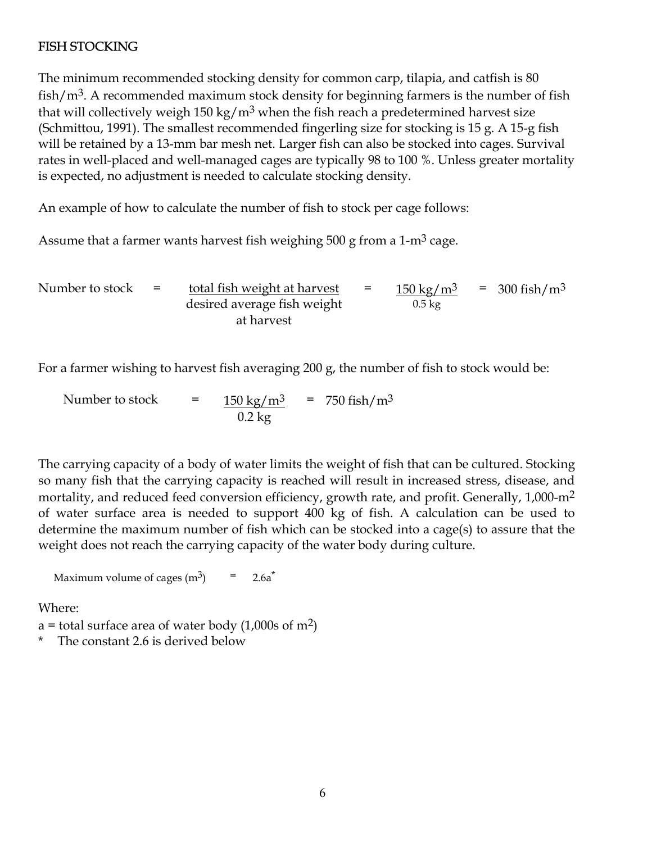# FISH STOCKING

The minimum recommended stocking density for common carp, tilapia, and catfish is 80 fish/ $m<sup>3</sup>$ . A recommended maximum stock density for beginning farmers is the number of fish that will collectively weigh 150 kg/m<sup>3</sup> when the fish reach a predetermined harvest size (Schmittou, 1991). The smallest recommended fingerling size for stocking is 15 g. A 15-g fish will be retained by a 13-mm bar mesh net. Larger fish can also be stocked into cages. Survival rates in well-placed and well-managed cages are typically 98 to 100 %. Unless greater mortality is expected, no adjustment is needed to calculate stocking density.

An example of how to calculate the number of fish to stock per cage follows:

Assume that a farmer wants harvest fish weighing 500 g from a  $1-m<sup>3</sup>$  cage.

Number to stock  $=$  total fish weight at harvest desired average fish weight at harvest =  $150 \text{ kg/m}^3$  = 300 fish/m<sup>3</sup>  $0.5 \overline{\text{kg}}$ 

For a farmer wishing to harvest fish averaging 200 g, the number of fish to stock would be:

Number to stock  $=$  $0.2$  kg  $\frac{150 \text{ kg/m}^3}{2}$  = 750 fish/m<sup>3</sup>

The carrying capacity of a body of water limits the weight of fish that can be cultured. Stocking so many fish that the carrying capacity is reached will result in increased stress, disease, and mortality, and reduced feed conversion efficiency, growth rate, and profit. Generally, 1,000-m<sup>2</sup> of water surface area is needed to support 400 kg of fish. A calculation can be used to determine the maximum number of fish which can be stocked into a cage(s) to assure that the weight does not reach the carrying capacity of the water body during culture.

Maximum volume of cages  $(m^3)$  = 2.6a<sup>\*</sup>

Where:

a = total surface area of water body  $(1,000s \text{ of } m^2)$ 

The constant 2.6 is derived below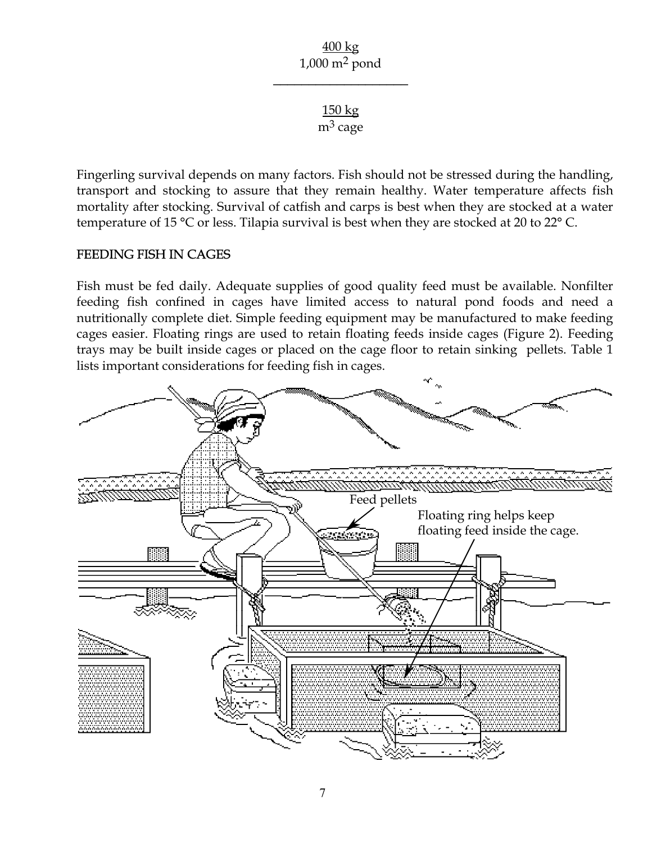\_\_\_\_\_\_\_\_\_\_\_\_\_\_\_\_\_\_\_

150 kg  $m<sup>3</sup>$  cage

Fingerling survival depends on many factors. Fish should not be stressed during the handling, transport and stocking to assure that they remain healthy. Water temperature affects fish mortality after stocking. Survival of catfish and carps is best when they are stocked at a water temperature of 15 °C or less. Tilapia survival is best when they are stocked at 20 to 22° C.

### FEEDING FISH IN CAGES

Fish must be fed daily. Adequate supplies of good quality feed must be available. Nonfilter feeding fish confined in cages have limited access to natural pond foods and need a nutritionally complete diet. Simple feeding equipment may be manufactured to make feeding cages easier. Floating rings are used to retain floating feeds inside cages (Figure 2). Feeding trays may be built inside cages or placed on the cage floor to retain sinking pellets. Table 1 lists important considerations for feeding fish in cages.

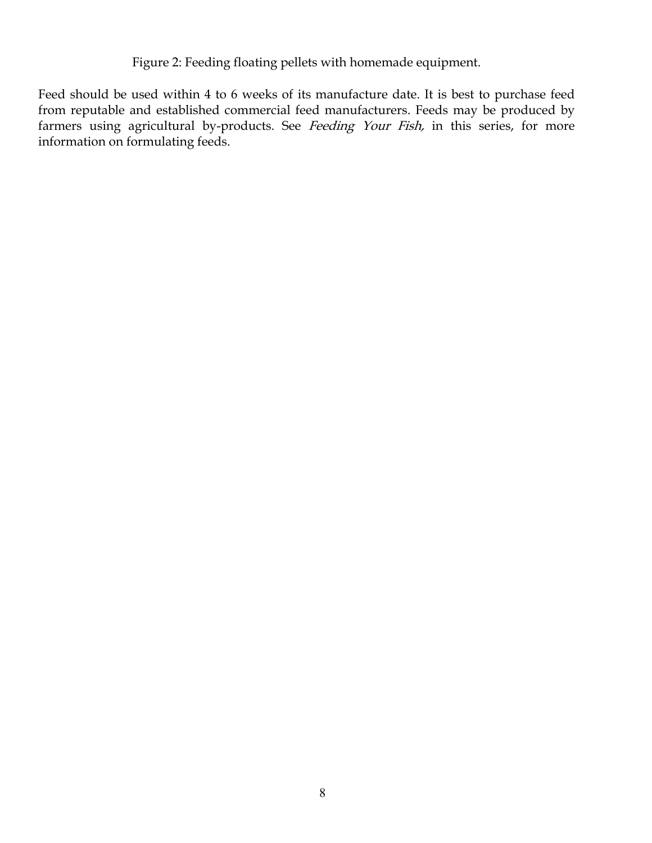Figure 2: Feeding floating pellets with homemade equipment.

Feed should be used within 4 to 6 weeks of its manufacture date. It is best to purchase feed from reputable and established commercial feed manufacturers. Feeds may be produced by farmers using agricultural by-products. See Feeding Your Fish, in this series, for more information on formulating feeds.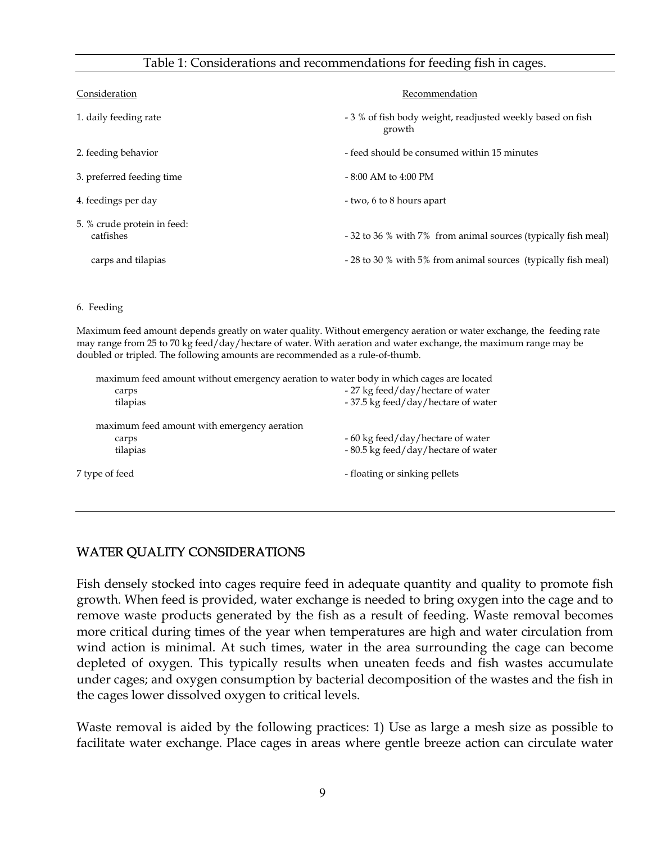#### Table 1: Considerations and recommendations for feeding fish in cages.

| Consideration                            | Recommendation                                                       |  |  |  |
|------------------------------------------|----------------------------------------------------------------------|--|--|--|
| 1. daily feeding rate                    | - 3 % of fish body weight, readjusted weekly based on fish<br>growth |  |  |  |
| 2. feeding behavior                      | - feed should be consumed within 15 minutes                          |  |  |  |
| 3. preferred feeding time                | $-8:00$ AM to 4:00 PM                                                |  |  |  |
| 4. feedings per day                      | - two, 6 to 8 hours apart                                            |  |  |  |
| 5. % crude protein in feed:<br>catfishes | - 32 to 36 % with 7% from animal sources (typically fish meal)       |  |  |  |
| carps and tilapias                       | - 28 to 30 % with 5% from animal sources (typically fish meal)       |  |  |  |

#### 6. Feeding

Maximum feed amount depends greatly on water quality. Without emergency aeration or water exchange, the feeding rate may range from 25 to 70 kg feed/day/hectare of water. With aeration and water exchange, the maximum range may be doubled or tripled. The following amounts are recommended as a rule-of-thumb.

|                                             | maximum feed amount without emergency aeration to water body in which cages are located |  |  |  |  |
|---------------------------------------------|-----------------------------------------------------------------------------------------|--|--|--|--|
| carps                                       | - 27 kg feed/day/hectare of water                                                       |  |  |  |  |
| tilapias                                    | - 37.5 kg feed/day/hectare of water                                                     |  |  |  |  |
| maximum feed amount with emergency aeration |                                                                                         |  |  |  |  |
| carps                                       | - 60 kg feed/day/hectare of water                                                       |  |  |  |  |
| tilapias                                    | - 80.5 kg feed/day/hectare of water                                                     |  |  |  |  |
| 7 type of feed                              | - floating or sinking pellets                                                           |  |  |  |  |

### WATER QUALITY CONSIDERATIONS

Fish densely stocked into cages require feed in adequate quantity and quality to promote fish growth. When feed is provided, water exchange is needed to bring oxygen into the cage and to remove waste products generated by the fish as a result of feeding. Waste removal becomes more critical during times of the year when temperatures are high and water circulation from wind action is minimal. At such times, water in the area surrounding the cage can become depleted of oxygen. This typically results when uneaten feeds and fish wastes accumulate under cages; and oxygen consumption by bacterial decomposition of the wastes and the fish in the cages lower dissolved oxygen to critical levels.

Waste removal is aided by the following practices: 1) Use as large a mesh size as possible to facilitate water exchange. Place cages in areas where gentle breeze action can circulate water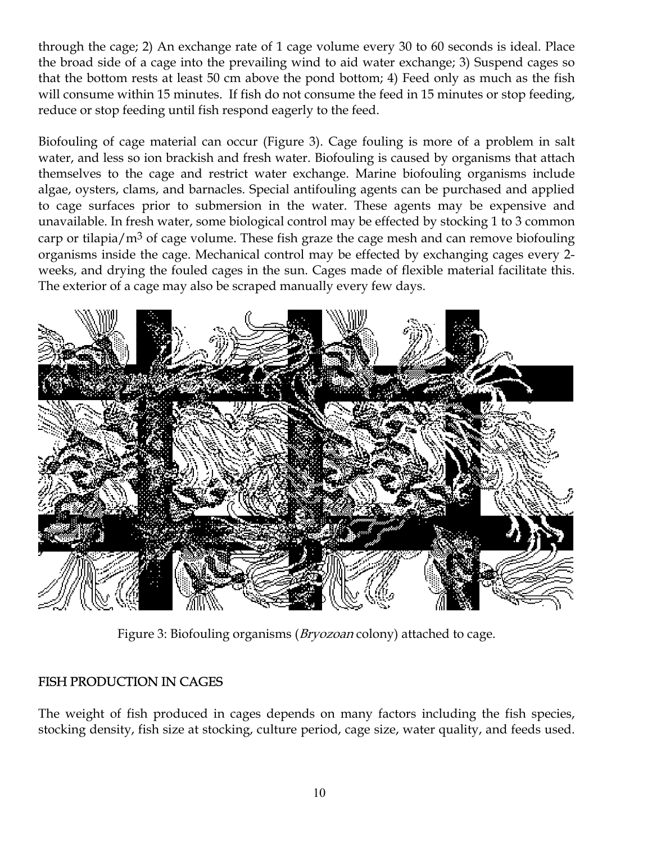through the cage; 2) An exchange rate of 1 cage volume every 30 to 60 seconds is ideal. Place the broad side of a cage into the prevailing wind to aid water exchange; 3) Suspend cages so that the bottom rests at least 50 cm above the pond bottom; 4) Feed only as much as the fish will consume within 15 minutes. If fish do not consume the feed in 15 minutes or stop feeding, reduce or stop feeding until fish respond eagerly to the feed.

Biofouling of cage material can occur (Figure 3). Cage fouling is more of a problem in salt water, and less so ion brackish and fresh water. Biofouling is caused by organisms that attach themselves to the cage and restrict water exchange. Marine biofouling organisms include algae, oysters, clams, and barnacles. Special antifouling agents can be purchased and applied to cage surfaces prior to submersion in the water. These agents may be expensive and unavailable. In fresh water, some biological control may be effected by stocking 1 to 3 common carp or tilapia/ $m<sup>3</sup>$  of cage volume. These fish graze the cage mesh and can remove biofouling organisms inside the cage. Mechanical control may be effected by exchanging cages every 2 weeks, and drying the fouled cages in the sun. Cages made of flexible material facilitate this. The exterior of a cage may also be scraped manually every few days.



Figure 3: Biofouling organisms (*Bryozoan* colony) attached to cage.

# FISH PRODUCTION IN CAGES

The weight of fish produced in cages depends on many factors including the fish species, stocking density, fish size at stocking, culture period, cage size, water quality, and feeds used.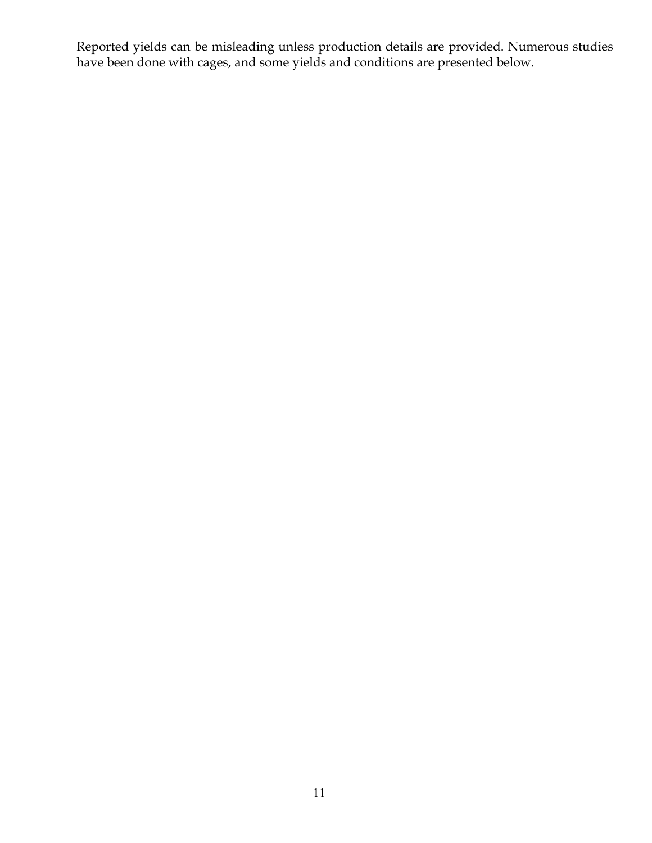Reported yields can be misleading unless production details are provided. Numerous studies have been done with cages, and some yields and conditions are presented below.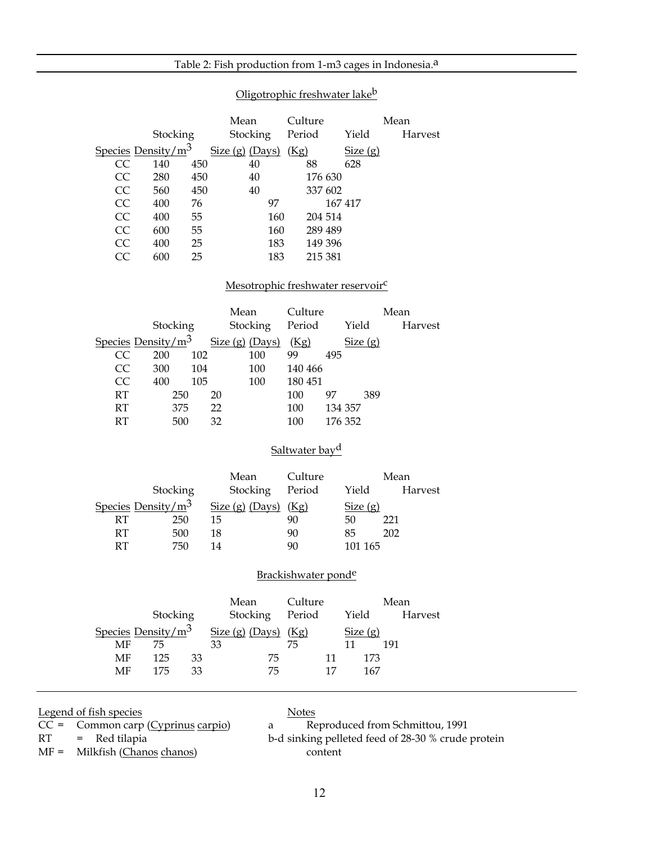#### Table 2: Fish production from 1-m3 cages in Indonesia.<sup>a</sup>

| CC<br>CC<br>CC<br>CC<br>CC<br>CC<br>CC<br>CC     | Stocking<br>Species Density/m <sup>3</sup><br>450<br>140<br>280<br>450<br>560<br>450<br>400<br>76<br>55<br>400<br>55<br>600<br>$25\,$<br>400<br>25<br>600 | Mean<br>Stocking Period<br>Size(g) (Days) (Kg)<br>40<br>40<br>40<br>97<br>160<br>160<br>183<br>183                                          | Culture<br>88<br>176 630<br>337 602<br>204 514<br>289 489<br>149 396<br>215 381 | Yield<br>Size(g)<br>628<br>167 417            | Mean<br>Harvest               |
|--------------------------------------------------|-----------------------------------------------------------------------------------------------------------------------------------------------------------|---------------------------------------------------------------------------------------------------------------------------------------------|---------------------------------------------------------------------------------|-----------------------------------------------|-------------------------------|
| CC<br>CC<br>CC<br>RT<br>RT<br>RT                 | Stocking<br>Species Density/m <sup>3</sup><br>102<br>200<br>300<br>104<br>105<br>400<br>250<br>375<br>500                                                 | Mesotrophic freshwater reservoir <sup>c</sup><br>Mean<br>Stocking Period<br>Size $(g)$ (Days) $(Kg)$<br>100<br>100<br>100<br>20<br>22<br>32 | Culture<br>99<br>495<br>140 466<br>180 451<br>100<br>97<br>100<br>100           | Yield<br>Size(g)<br>389<br>134 357<br>176 352 | Mean<br>Harvest               |
| RT<br>RT<br>RT                                   | Stocking<br>Species Density/m <sup>3</sup><br>250<br>500<br>750                                                                                           | Mean<br>Stocking Period<br>Size $(g)$ (Days) $(Kg)$<br>15<br>18<br>14                                                                       | Saltwater bay <sup>d</sup><br>Culture<br>90<br>90<br>90                         | Yield<br>Size $(g)$<br>50<br>85<br>101 165    | Mean<br>Harvest<br>221<br>202 |
| MF<br>$\operatorname{MF}$<br>$\operatorname{MF}$ | Stocking<br>75<br>125<br>33<br>175<br>33                                                                                                                  | Mean<br>Stocking<br>Species Density/ $m^3$ Size (g) (Days) (Kg)<br>33<br>75<br>75                                                           | Brackishwater ponde<br>Culture<br>Period Yield<br>75<br>11<br>17                | Size $(g)$<br>11 191<br>173<br>167            | Mean<br>Harvest               |

#### Oligotrophic freshwater lakeb

Legend of fish species<br>
CC = Common carp (Cyprinus carpio) a Re

MF = Milkfish (Chanos chanos) content

 $CC =$  Common carp (Cyprinus carpio)  $\qquad a$  Reproduced from Schmittou, 1991  $RT = Red tilapia$   $b-d$  sinking pelleted feed of 28-30 % crude protein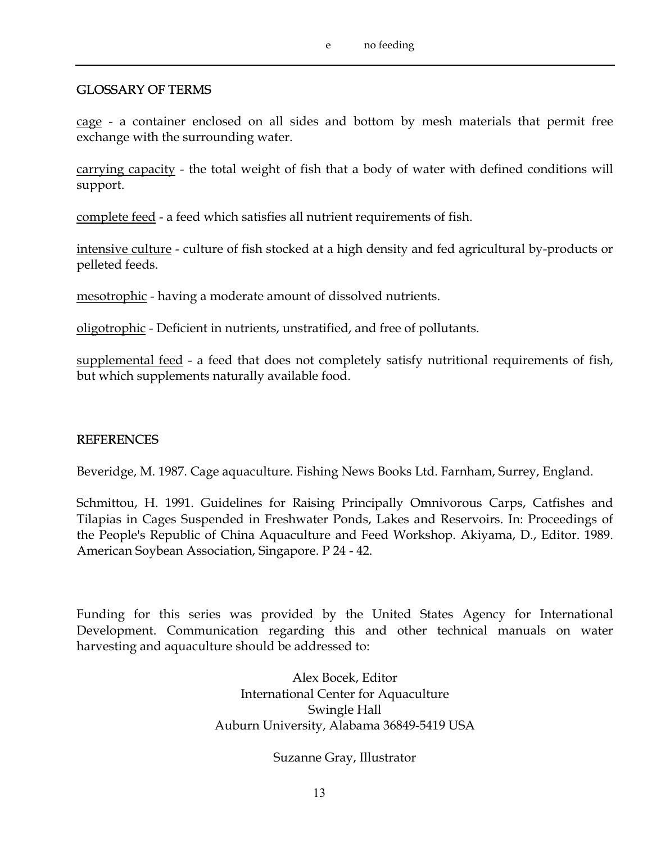### GLOSSARY OF TERMS

cage - a container enclosed on all sides and bottom by mesh materials that permit free exchange with the surrounding water.

carrying capacity - the total weight of fish that a body of water with defined conditions will support.

complete feed - a feed which satisfies all nutrient requirements of fish.

intensive culture - culture of fish stocked at a high density and fed agricultural by-products or pelleted feeds.

mesotrophic - having a moderate amount of dissolved nutrients.

oligotrophic - Deficient in nutrients, unstratified, and free of pollutants.

supplemental feed - a feed that does not completely satisfy nutritional requirements of fish, but which supplements naturally available food.

#### REFERENCES

Beveridge, M. 1987. Cage aquaculture. Fishing News Books Ltd. Farnham, Surrey, England.

Schmittou, H. 1991. Guidelines for Raising Principally Omnivorous Carps, Catfishes and Tilapias in Cages Suspended in Freshwater Ponds, Lakes and Reservoirs. In: Proceedings of the People's Republic of China Aquaculture and Feed Workshop. Akiyama, D., Editor. 1989. American Soybean Association, Singapore. P 24 - 42.

Funding for this series was provided by the United States Agency for International Development. Communication regarding this and other technical manuals on water harvesting and aquaculture should be addressed to:

> Alex Bocek, Editor International Center for Aquaculture Swingle Hall Auburn University, Alabama 36849-5419 USA

> > Suzanne Gray, Illustrator